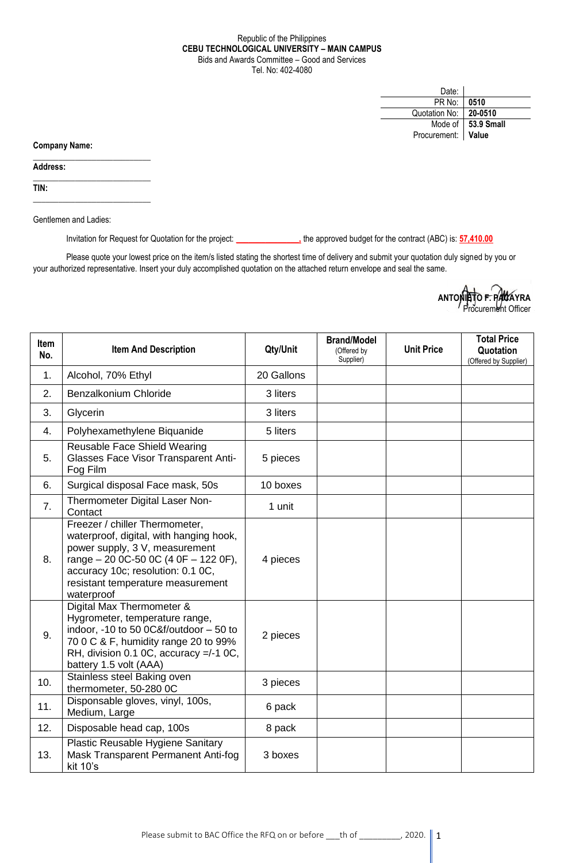## Republic of the Philippines **CEBU TECHNOLOGICAL UNIVERSITY – MAIN CAMPUS** Bids and Awards Committee – Good and Services Tel. No: 402-4080

| Date:              |                      |
|--------------------|----------------------|
| PR No:             | 0510                 |
| Quotation No:      | 20-0510              |
|                    | Mode of   53.9 Small |
| Procurement: Value |                      |

**Company Name:**

**Address:** 

**TIN:**

Gentlemen and Ladies:

 $\_$ 

 $\_$ 

\_\_\_\_\_\_\_\_\_\_\_\_\_\_\_\_\_\_\_\_\_\_\_\_\_\_\_\_

Invitation for Request for Quotation for the project: **\_\_\_\_\_\_\_\_\_\_\_\_\_\_\_,** the approved budget for the contract (ABC) is: **57,410.00**

Please quote your lowest price on the item/s listed stating the shortest time of delivery and submit your quotation duly signed by you or your authorized representative. Insert your duly accomplished quotation on the attached return envelope and seal the same.



|  | Procurement Officer |  |  |
|--|---------------------|--|--|
|  |                     |  |  |

| Item<br>No. | <b>Item And Description</b>                                                                                                                                                                                                                 | Qty/Unit   | <b>Brand/Model</b><br>(Offered by<br>Supplier) | <b>Unit Price</b> | <b>Total Price</b><br>Quotation<br>(Offered by Supplier) |
|-------------|---------------------------------------------------------------------------------------------------------------------------------------------------------------------------------------------------------------------------------------------|------------|------------------------------------------------|-------------------|----------------------------------------------------------|
| 1.          | Alcohol, 70% Ethyl                                                                                                                                                                                                                          | 20 Gallons |                                                |                   |                                                          |
| 2.          | Benzalkonium Chloride                                                                                                                                                                                                                       | 3 liters   |                                                |                   |                                                          |
| 3.          | Glycerin                                                                                                                                                                                                                                    | 3 liters   |                                                |                   |                                                          |
| 4.          | Polyhexamethylene Biquanide                                                                                                                                                                                                                 | 5 liters   |                                                |                   |                                                          |
| 5.          | Reusable Face Shield Wearing<br><b>Glasses Face Visor Transparent Anti-</b><br>Fog Film                                                                                                                                                     | 5 pieces   |                                                |                   |                                                          |
| 6.          | Surgical disposal Face mask, 50s                                                                                                                                                                                                            | 10 boxes   |                                                |                   |                                                          |
| 7.          | Thermometer Digital Laser Non-<br>Contact                                                                                                                                                                                                   | 1 unit     |                                                |                   |                                                          |
| 8.          | Freezer / chiller Thermometer,<br>waterproof, digital, with hanging hook,<br>power supply, 3 V, measurement<br>range - 20 0C-50 0C (4 0F - 122 0F),<br>accuracy 10c; resolution: 0.1 0C,<br>resistant temperature measurement<br>waterproof | 4 pieces   |                                                |                   |                                                          |
| 9.          | Digital Max Thermometer &<br>Hygrometer, temperature range,<br>indoor, -10 to 50 0C&f/outdoor - 50 to<br>70 0 C & F, humidity range 20 to 99%<br>RH, division 0.1 0C, accuracy $=/-1$ 0C,<br>battery 1.5 volt (AAA)                         | 2 pieces   |                                                |                   |                                                          |
| 10.         | Stainless steel Baking oven<br>thermometer, 50-280 0C                                                                                                                                                                                       | 3 pieces   |                                                |                   |                                                          |
| 11.         | Disponsable gloves, vinyl, 100s,<br>Medium, Large                                                                                                                                                                                           | 6 pack     |                                                |                   |                                                          |
| 12.         | Disposable head cap, 100s                                                                                                                                                                                                                   | 8 pack     |                                                |                   |                                                          |
| 13.         | Plastic Reusable Hygiene Sanitary<br>Mask Transparent Permanent Anti-fog<br>kit 10's                                                                                                                                                        | 3 boxes    |                                                |                   |                                                          |